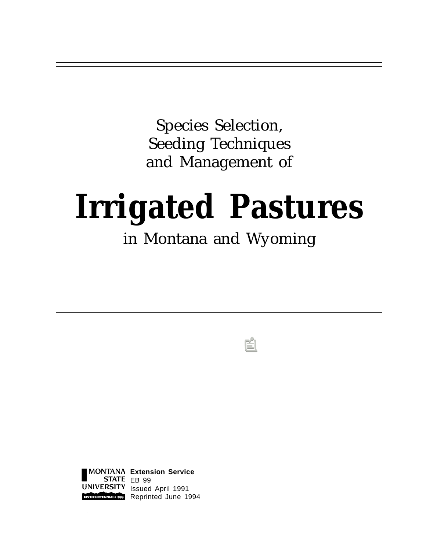Species Selection, Seeding Techniques and Management of

# **Irrigated Pastures**

## in Montana and Wyoming

**Extension Service**  $STATE|EB99$ ERSITY| Issued April 1991 **Reprinted June 1994**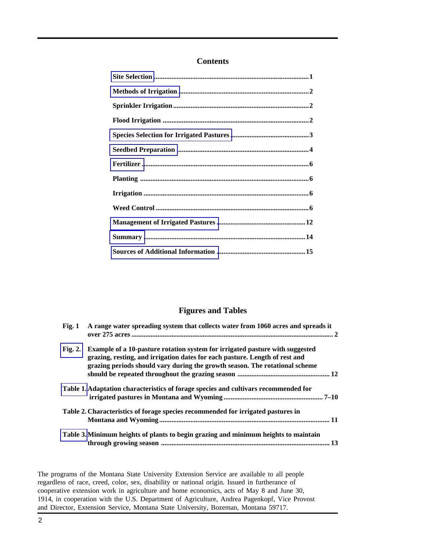#### **Contents**

#### **Figures and Tables**

| Fig. 1  | A range water spreading system that collects water from 1060 acres and spreads it                                                                                                                                                                 |      |
|---------|---------------------------------------------------------------------------------------------------------------------------------------------------------------------------------------------------------------------------------------------------|------|
| Fig. 2. | <b>Example of a 10-pasture rotation system for irrigated pasture with suggested</b><br>grazing, resting, and irrigation dates for each pasture. Length of rest and<br>grazing periods should vary during the growth season. The rotational scheme |      |
|         | Table 1. Adaptation characteristics of forage species and cultivars recommended for                                                                                                                                                               |      |
|         | Table 2. Characteristics of forage species recommended for irrigated pastures in                                                                                                                                                                  |      |
|         | Table 3. Minimum heights of plants to begin grazing and minimum heights to maintain                                                                                                                                                               | . 13 |

The programs of the Montana State University Extension Service are available to all people regardless of race, creed, color, sex, disability or national origin. Issued in furtherance of cooperative extension work in agriculture and home economics, acts of May 8 and June 30, 1914, in cooperation with the U.S. Department of Agriculture, Andrea Pagenkopf, Vice Provost and Director, Extension Service, Montana State University, Bozeman, Montana 59717.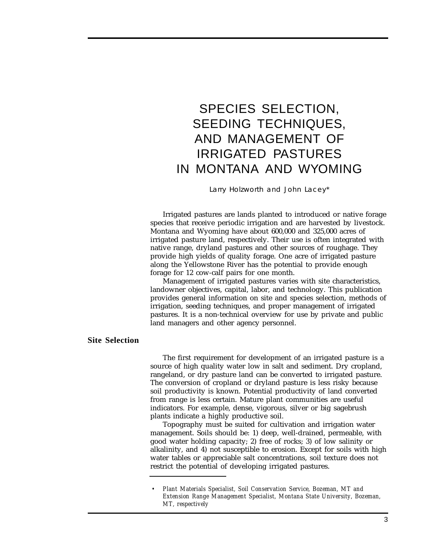### <span id="page-2-0"></span>SPECIES SELECTION, SEEDING TECHNIQUES, AND MANAGEMENT OF IRRIGATED PASTURES IN MONTANA AND WYOMING

Larry Holzworth and John Lacey\*

Irrigated pastures are lands planted to introduced or native forage species that receive periodic irrigation and are harvested by livestock. Montana and Wyoming have about 600,000 and 325,000 acres of irrigated pasture land, respectively. Their use is often integrated with native range, dryland pastures and other sources of roughage. They provide high yields of quality forage. One acre of irrigated pasture along the Yellowstone River has the potential to provide enough forage for 12 cow-calf pairs for one month.

Management of irrigated pastures varies with site characteristics, landowner objectives, capital, labor, and technology. This publication provides general information on site and species selection, methods of irrigation, seeding techniques, and proper management of irrigated pastures. It is a non-technical overview for use by private and public land managers and other agency personnel.

#### **Site Selection**

The first requirement for development of an irrigated pasture is a source of high quality water low in salt and sediment. Dry cropland, rangeland, or dry pasture land can be converted to irrigated pasture. The conversion of cropland or dryland pasture is less risky because soil productivity is known. Potential productivity of land converted from range is less certain. Mature plant communities are useful indicators. For example, dense, vigorous, silver or big sagebrush plants indicate a highly productive soil.

Topography must be suited for cultivation and irrigation water management. Soils should be: 1) deep, well-drained, permeable, with good water holding capacity; 2) free of rocks; 3) of low salinity or alkalinity, and 4) not susceptible to erosion. Except for soils with high water tables or appreciable salt concentrations, soil texture does not restrict the potential of developing irrigated pastures.

*<sup>•</sup> Plant Materials Specialist, Soil Conservation Service, Bozeman, MT and Extension Range Management Specialist, Montana State University, Bozeman, MT, respectively*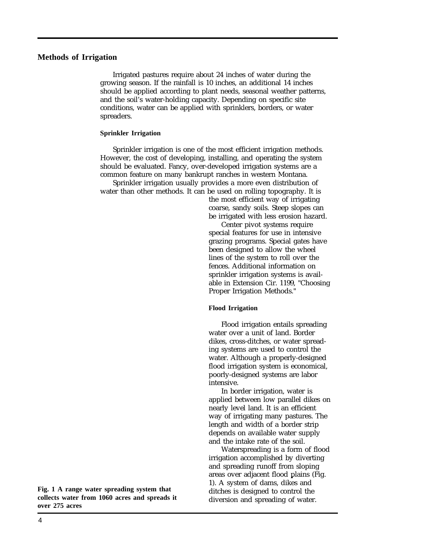#### <span id="page-3-0"></span>**Methods of Irrigation**

Irrigated pastures require about 24 inches of water during the growing season. If the rainfall is 10 inches, an additional 14 inches should be applied according to plant needs, seasonal weather patterns, and the soil's water-holding capacity. Depending on specific site conditions, water can be applied with sprinklers, borders, or water spreaders.

#### **Sprinkler Irrigation**

Sprinkler irrigation is one of the most efficient irrigation methods. However, the cost of developing, installing, and operating the system should be evaluated. Fancy, over-developed irrigation systems are a common feature on many bankrupt ranches in western Montana.

Sprinkler irrigation usually provides a more even distribution of water than other methods. It can be used on rolling topography. It is

> the most efficient way of irrigating coarse, sandy soils. Steep slopes can be irrigated with less erosion hazard.

Center pivot systems require special features for use in intensive grazing programs. Special gates have been designed to allow the wheel lines of the system to roll over the fences. Additional information on sprinkler irrigation systems is available in Extension Cir. 1199, "Choosing Proper Irrigation Methods."

#### **Flood Irrigation**

Flood irrigation entails spreading water over a unit of land. Border dikes, cross-ditches, or water spreading systems are used to control the water. Although a properly-designed flood irrigation system is economical, poorly-designed systems are labor intensive.

In border irrigation, water is applied between low parallel dikes on nearly level land. It is an efficient way of irrigating many pastures. The length and width of a border strip depends on available water supply and the intake rate of the soil.

Waterspreading is a form of flood irrigation accomplished by diverting and spreading runoff from sloping areas over adjacent flood plains (Fig. 1). A system of dams, dikes and ditches is designed to control the diversion and spreading of water.

**Fig. 1 A range water spreading system that collects water from 1060 acres and spreads it over 275 acres**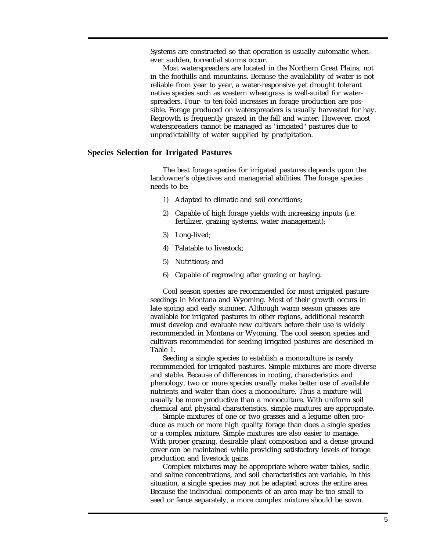<span id="page-4-0"></span>Systems are constructed so that operation is usually automatic whenever sudden, torrential storms occur.

Most waterspreaders are located in the Northern Great Plains, not in the foothills and mountains. Because the availability of water is not reliable from year to year, a water-responsive yet drought tolerant native species such as western wheatgrass is well-suited for waterspreaders. Four- to ten-fold increases in forage production are possible. Forage produced on waterspreaders is usually harvested for hay. Regrowth is frequently grazed in the fall and winter. However, most waterspreaders cannot be managed as "irrigated" pastures due to unpredictability of water supplied by precipitation.

#### **Species Selection for Irrigated Pastures**

The best forage species for irrigated pastures depends upon the landowner's objectives and managerial abilities. The forage species needs to be:

- 1) Adapted to climatic and soil conditions;
- 2) Capable of high forage yields with increasing inputs (i.e. fertilizer, grazing systems, water management);
- 3) Long-lived;
- 4) Palatable to livestock;
- 5) Nutritious; and
- 6) Capable of regrowing after grazing or haying.

Cool season species are recommended for most irrigated pasture seedings in Montana and Wyoming. Most of their growth occurs in late spring and early summer. Although warm season grasses are available for irrigated pastures in other regions, additional research must develop and evaluate new cultivars before their use is widely recommended in Montana or Wyoming. The cool season species and cultivars recommended for seeding irrigated pastures are described in Table 1.

Seeding a single species to establish a monoculture is rarely recommended for irrigated pastures. Simple mixtures are more diverse and stable. Because of differences in rooting, characteristics and phenology, two or more species usually make better use of available nutrients and water than does a monoculture. Thus a mixture will usually be more productive than a monoculture. With uniform soil chemical and physical characteristics, simple mixtures are appropriate.

Simple mixtures of one or two grasses and a legume often produce as much or more high quality forage than does a single species or a complex mixture. Simple mixtures are also easier to manage. With proper grazing, desirable plant composition and a dense ground cover can be maintained while providing satisfactory levels of forage production and livestock gains.

Complex mixtures may be appropriate where water tables, sodic and saline concentrations, and soil characteristics are variable. In this situation, a single species may not be adapted across the entire area. Because the individual components of an area may be too small to seed or fence separately, a more complex mixture should be sown.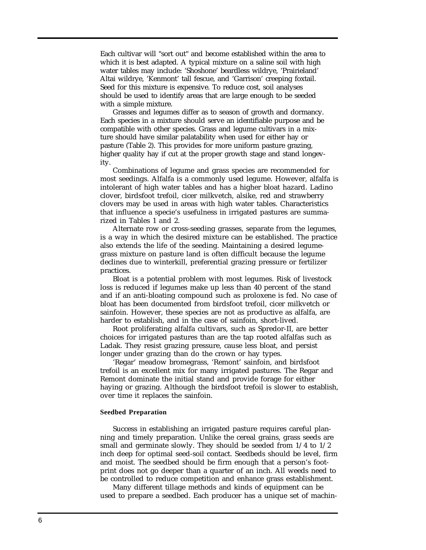<span id="page-5-0"></span>Each cultivar will "sort out" and become established within the area to which it is best adapted. A typical mixture on a saline soil with high water tables may include: 'Shoshone' beardless wildrye, 'Prairieland' Altai wildrye, 'Kenmont' tall fescue, and 'Garrison' creeping foxtail. Seed for this mixture is expensive. To reduce cost, soil analyses should be used to identify areas that are large enough to be seeded with a simple mixture.

Grasses and legumes differ as to season of growth and dormancy. Each species in a mixture should serve an identifiable purpose and be compatible with other species. Grass and legume cultivars in a mixture should have similar palatability when used for either hay or pasture (Table 2). This provides for more uniform pasture grazing, higher quality hay if cut at the proper growth stage and stand longevity.

Combinations of legume and grass species are recommended for most seedings. Alfalfa is a commonly used legume. However, alfalfa is intolerant of high water tables and has a higher bloat hazard. Ladino clover, birdsfoot trefoil, cicer milkvetch, alsike, red and strawberry clovers may be used in areas with high water tables. Characteristics that influence a specie's usefulness in irrigated pastures are summarized in Tables 1 and 2.

Alternate row or cross-seeding grasses, separate from the legumes, is a way in which the desired mixture can be established. The practice also extends the life of the seeding. Maintaining a desired legumegrass mixture on pasture land is often difficult because the legume declines due to winterkill, preferential grazing pressure or fertilizer practices.

Bloat is a potential problem with most legumes. Risk of livestock loss is reduced if legumes make up less than 40 percent of the stand and if an anti-bloating compound such as proloxene is fed. No case of bloat has been documented from birdsfoot trefoil, cicer milkvetch or sainfoin. However, these species are not as productive as alfalfa, are harder to establish, and in the case of sainfoin, short-lived.

Root proliferating alfalfa cultivars, such as Spredor-II, are better choices for irrigated pastures than are the tap rooted alfalfas such as Ladak. They resist grazing pressure, cause less bloat, and persist longer under grazing than do the crown or hay types.

'Regar' meadow bromegrass, 'Remont' sainfoin, and birdsfoot trefoil is an excellent mix for many irrigated pastures. The Regar and Remont dominate the initial stand and provide forage for either haying or grazing. Although the birdsfoot trefoil is slower to establish, over time it replaces the sainfoin.

#### **Seedbed Preparation**

Success in establishing an irrigated pasture requires careful planning and timely preparation. Unlike the cereal grains, grass seeds are small and germinate slowly. They should be seeded from 1/4 to 1/2 inch deep for optimal seed-soil contact. Seedbeds should be level, firm and moist. The seedbed should be firm enough that a person's footprint does not go deeper than a quarter of an inch. All weeds need to be controlled to reduce competition and enhance grass establishment.

Many different tillage methods and kinds of equipment can be used to prepare a seedbed. Each producer has a unique set of machin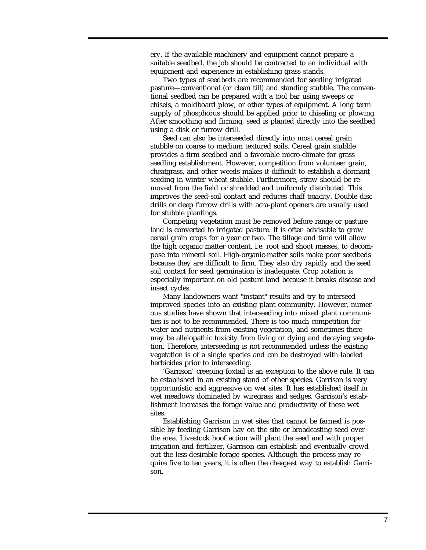ery. If the available machinery and equipment cannot prepare a suitable seedbed, the job should be contracted to an individual with equipment and experience in establishing grass stands.

Two types of seedbeds are recommended for seeding irrigated pasture—conventional (or clean till) and standing stubble. The conventional seedbed can be prepared with a tool bar using sweeps or chisels, a moldboard plow, or other types of equipment. A long term supply of phosphorus should be applied prior to chiseling or plowing. After smoothing and firming, seed is planted directly into the seedbed using a disk or furrow drill.

Seed can also be interseeded directly into most cereal grain stubble on coarse to medium textured soils. Cereal grain stubble provides a firm seedbed and a favorable micro-climate for grass seedling establishment. However, competition from volunteer grain, cheatgrass, and other weeds makes it difficult to establish a dormant seeding in winter wheat stubble. Furthermore, straw should be removed from the field or shredded and uniformly distributed. This improves the seed-soil contact and reduces chaff toxicity. Double disc drills or deep furrow drills with acra-plant openers are usually used for stubble plantings.

Competing vegetation must be removed before range or pasture land is converted to irrigated pasture. It is often advisable to grow cereal grain crops for a year or two. The tillage and time will allow the high organic matter content, i.e. root and shoot masses, to decompose into mineral soil. High-organic-matter soils make poor seedbeds because they are difficult to firm. They also dry rapidly and the seed soil contact for seed germination is inadequate. Crop rotation is especially important on old pasture land because it breaks disease and insect cycles.

Many landowners want "instant" results and try to interseed improved species into an existing plant community. However, numerous studies have shown that interseeding into mixed plant communities is not to be recommended. There is too much competition for water and nutrients from existing vegetation, and sometimes there may be allelopathic toxicity from living or dying and decaying vegetation. Therefore, interseeding is not recommended unless the existing vegetation is of a single species and can be destroyed with labeled herbicides prior to interseeding.

'Garrison' creeping foxtail is an exception to the above rule. It can be established in an existing stand of other species. Garrison is very opportunistic and aggressive on wet sites. It has established itself in wet meadows dominated by wiregrass and sedges. Garrison's establishment increases the forage value and productivity of these wet sites.

Establishing Garrison in wet sites that cannot be farmed is possible by feeding Garrison hay on the site or broadcasting seed over the area. Livestock hoof action will plant the seed and with proper irrigation and fertilizer, Garrison can establish and eventually crowd out the less-desirable forage species. Although the process may require five to ten years, it is often the cheapest way to establish Garrison.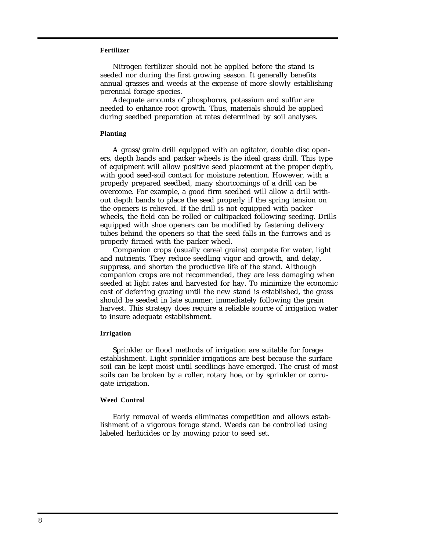#### <span id="page-7-0"></span>**Fertilizer**

Nitrogen fertilizer should not be applied before the stand is seeded nor during the first growing season. It generally benefits annual grasses and weeds at the expense of more slowly establishing perennial forage species.

Adequate amounts of phosphorus, potassium and sulfur are needed to enhance root growth. Thus, materials should be applied during seedbed preparation at rates determined by soil analyses.

#### **Planting**

A grass/grain drill equipped with an agitator, double disc openers, depth bands and packer wheels is the ideal grass drill. This type of equipment will allow positive seed placement at the proper depth, with good seed-soil contact for moisture retention. However, with a properly prepared seedbed, many shortcomings of a drill can be overcome. For example, a good firm seedbed will allow a drill without depth bands to place the seed properly if the spring tension on the openers is relieved. If the drill is not equipped with packer wheels, the field can be rolled or cultipacked following seeding. Drills equipped with shoe openers can be modified by fastening delivery tubes behind the openers so that the seed falls in the furrows and is properly firmed with the packer wheel.

Companion crops (usually cereal grains) compete for water, light and nutrients. They reduce seedling vigor and growth, and delay, suppress, and shorten the productive life of the stand. Although companion crops are not recommended, they are less damaging when seeded at light rates and harvested for hay. To minimize the economic cost of deferring grazing until the new stand is established, the grass should be seeded in late summer, immediately following the grain harvest. This strategy does require a reliable source of irrigation water to insure adequate establishment.

#### **Irrigation**

Sprinkler or flood methods of irrigation are suitable for forage establishment. Light sprinkler irrigations are best because the surface soil can be kept moist until seedlings have emerged. The crust of most soils can be broken by a roller, rotary hoe, or by sprinkler or corrugate irrigation.

#### **Weed Control**

Early removal of weeds eliminates competition and allows establishment of a vigorous forage stand. Weeds can be controlled using labeled herbicides or by mowing prior to seed set.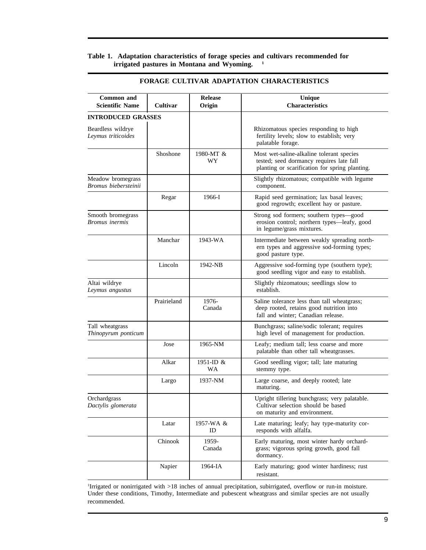#### <span id="page-8-0"></span>**Table 1. Adaptation characteristics of forage species and cultivars recommended for irrigated pastures in Montana and Wyoming. <sup>1</sup>**

| Common and<br><b>Scientific Name</b>      | Cultivar    | <b>Release</b><br>Origin | <b>Unique</b><br><b>Characteristics</b>                                                                                                 |
|-------------------------------------------|-------------|--------------------------|-----------------------------------------------------------------------------------------------------------------------------------------|
| <b>INTRODUCED GRASSES</b>                 |             |                          |                                                                                                                                         |
| Beardless wildrye<br>Leymus triticoides   |             |                          | Rhizomatous species responding to high<br>fertility levels; slow to establish; very<br>palatable forage.                                |
|                                           | Shoshone    | 1980-MT &<br>WY          | Most wet-saline-alkaline tolerant species<br>tested; seed dormancy requires late fall<br>planting or scarification for spring planting. |
| Meadow bromegrass<br>Bromus biebersteinii |             |                          | Slightly rhizomatous; compatible with legume<br>component.                                                                              |
|                                           | Regar       | 1966-I                   | Rapid seed germination; lax basal leaves;<br>good regrowth; excellent hay or pasture.                                                   |
| Smooth bromegrass<br>Bromus inermis       |             |                          | Strong sod formers; southern types—good<br>erosion control; northern types-leafy, good<br>in legume/grass mixtures.                     |
|                                           | Manchar     | 1943-WA                  | Intermediate between weakly spreading north-<br>ern types and aggressive sod-forming types;<br>good pasture type.                       |
|                                           | Lincoln     | 1942-NB                  | Aggressive sod-forming type (southern type);<br>good seedling vigor and easy to establish.                                              |
| Altai wildrye<br>Leymus angustus          |             |                          | Slightly rhizomatous; seedlings slow to<br>establish.                                                                                   |
|                                           | Prairieland | 1976-<br>Canada          | Saline tolerance less than tall wheatgrass;<br>deep rooted, retains good nutrition into<br>fall and winter; Canadian release.           |
| Tall wheatgrass<br>Thinopyrum ponticum    |             |                          | Bunchgrass; saline/sodic tolerant; requires<br>high level of management for production.                                                 |
|                                           | Jose        | 1965-NM                  | Leafy; medium tall; less coarse and more<br>palatable than other tall wheatgrasses.                                                     |
|                                           | Alkar       | 1951-ID &<br>WA          | Good seedling vigor; tall; late maturing<br>stemmy type.                                                                                |
|                                           | Largo       | 1937-NM                  | Large coarse, and deeply rooted; late<br>maturing.                                                                                      |
| Orchardgrass<br>Dactylis glomerata        |             |                          | Upright tillering bunchgrass; very palatable.<br>Cultivar selection should be based<br>on maturity and environment.                     |
|                                           | Latar       | 1957-WA &<br>ID          | Late maturing; leafy; hay type-maturity cor-<br>responds with alfalfa.                                                                  |
|                                           | Chinook     | 1959-<br>Canada          | Early maturing, most winter hardy orchard-<br>grass; vigorous spring growth, good fall<br>dormancy.                                     |
|                                           | Napier      | 1964-IA                  | Early maturing; good winter hardiness; rust<br>resistant.                                                                               |

#### **FORAGE CULTIVAR ADAPTATION CHARACTERISTICS**

1 Irrigated or nonirrigated with >18 inches of annual precipitation, subirrigated, overflow or run-in moisture. Under these conditions, Timothy, Intermediate and pubescent wheatgrass and similar species are not usually recommended.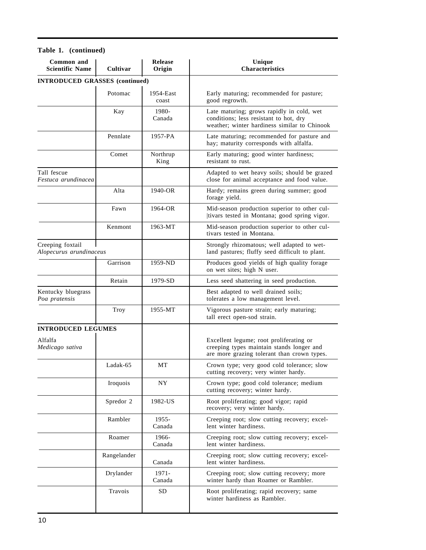| Common and<br>Release<br><b>Scientific Name</b><br>Cultivar<br>Origin |             |                    | Unique<br>Characteristics                                                                                                           |
|-----------------------------------------------------------------------|-------------|--------------------|-------------------------------------------------------------------------------------------------------------------------------------|
| <b>INTRODUCED GRASSES</b> (continued)                                 |             |                    |                                                                                                                                     |
|                                                                       | Potomac     | 1954-East<br>coast | Early maturing; recommended for pasture;<br>good regrowth.                                                                          |
|                                                                       | Kay         | 1980-<br>Canada    | Late maturing; grows rapidly in cold, wet<br>conditions; less resistant to hot, dry<br>weather; winter hardiness similar to Chinook |
|                                                                       | Pennlate    | 1957-PA            | Late maturing; recommended for pasture and<br>hay; maturity corresponds with alfalfa.                                               |
|                                                                       | Comet       | Northrup<br>King   | Early maturing; good winter hardiness;<br>resistant to rust.                                                                        |
| Tall fescue<br>Festuca arundinacea                                    |             |                    | Adapted to wet heavy soils; should be grazed<br>close for animal acceptance and food value.                                         |
|                                                                       | Alta        | $1940$ -OR         | Hardy; remains green during summer; good<br>forage yield.                                                                           |
|                                                                       | Fawn        | 1964-OR            | Mid-season production superior to other cul-<br>tivars tested in Montana; good spring vigor.                                        |
|                                                                       | Kenmont     | 1963-MT            | Mid-season production superior to other cul-<br>tivars tested in Montana.                                                           |
| Creeping foxtail<br>Alopecurus arundinaceus                           |             |                    | Strongly rhizomatous; well adapted to wet-<br>land pastures; fluffy seed difficult to plant.                                        |
|                                                                       | Garrison    | 1959-ND            | Produces good yields of high quality forage<br>on wet sites; high N user.                                                           |
|                                                                       | Retain      | 1979-SD            | Less seed shattering in seed production.                                                                                            |
| Kentucky bluegrass<br>Poa pratensis                                   |             |                    | Best adapted to well drained soils;<br>tolerates a low management level.                                                            |
|                                                                       | Troy        | 1955-MT            | Vigorous pasture strain; early maturing;<br>tall erect open-sod strain.                                                             |
| <b>INTRODUCED LEGUMES</b>                                             |             |                    |                                                                                                                                     |
| Alfalfa<br>Medicago sativa                                            |             |                    | Excellent legume; root proliferating or<br>creeping types maintain stands longer and<br>are more grazing tolerant than crown types. |
|                                                                       | Ladak-65    | $\rm{MT}$          | Crown type; very good cold tolerance; slow<br>cutting recovery; very winter hardy.                                                  |
|                                                                       | Iroquois    | NY.                | Crown type; good cold tolerance; medium<br>cutting recovery; winter hardy.                                                          |
|                                                                       | Spredor 2   | 1982-US            | Root proliferating; good vigor; rapid<br>recovery; very winter hardy.                                                               |
|                                                                       | Rambler     | 1955-<br>Canada    | Creeping root; slow cutting recovery; excel-<br>lent winter hardiness.                                                              |
|                                                                       | Roamer      | 1966-<br>Canada    | Creeping root; slow cutting recovery; excel-<br>lent winter hardiness.                                                              |
|                                                                       | Rangelander | Canada             | Creeping root; slow cutting recovery; excel-<br>lent winter hardiness.                                                              |
|                                                                       | Drylander   | 1971-<br>Canada    | Creeping root; slow cutting recovery; more<br>winter hardy than Roamer or Rambler.                                                  |
|                                                                       | Travois     | <b>SD</b>          | Root proliferating; rapid recovery; same<br>winter hardiness as Rambler.                                                            |

#### **Table 1. (continued)**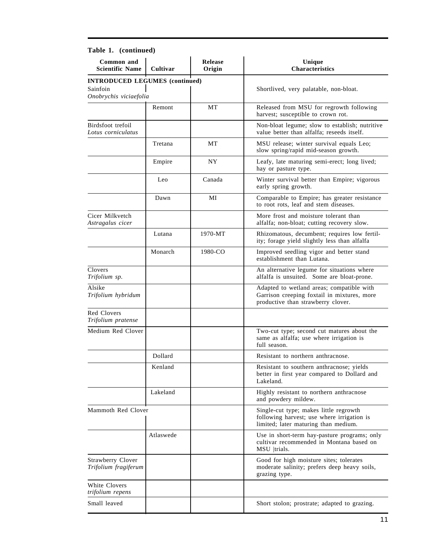| $1$ avit $1.$ (continued)<br>Common and<br><b>Scientific Name</b>           | Cultivar  | <b>Release</b><br>Origin | Unique<br><b>Characteristics</b>                                                                                               |
|-----------------------------------------------------------------------------|-----------|--------------------------|--------------------------------------------------------------------------------------------------------------------------------|
| <b>INTRODUCED LEGUMES (continued)</b><br>Sainfoin<br>Onobrychis viciaefolia |           |                          | Shortlived, very palatable, non-bloat.                                                                                         |
|                                                                             | Remont    | МT                       | Released from MSU for regrowth following<br>harvest; susceptible to crown rot.                                                 |
| Birdsfoot trefoil<br>Lotus corniculatus                                     |           |                          | Non-bloat legume; slow to establish; nutritive<br>value better than alfalfa; reseeds itself.                                   |
|                                                                             | Tretana   | MT                       | MSU release; winter survival equals Leo;<br>slow spring/rapid mid-season growth.                                               |
|                                                                             | Empire    | NY                       | Leafy, late maturing semi-erect; long lived;<br>hay or pasture type.                                                           |
|                                                                             | Leo       | Canada                   | Winter survival better than Empire; vigorous<br>early spring growth.                                                           |
|                                                                             | Dawn      | МI                       | Comparable to Empire; has greater resistance<br>to root rots, leaf and stem diseases.                                          |
| Cicer Milkvetch<br>Astragalus cicer                                         |           |                          | More frost and moisture tolerant than<br>alfalfa; non-bloat; cutting recovery slow.                                            |
|                                                                             | Lutana    | 1970-MT                  | Rhizomatous, decumbent; requires low fertil-<br>ity; forage yield slightly less than alfalfa                                   |
|                                                                             | Monarch   | 1980-CO                  | Improved seedling vigor and better stand<br>establishment than Lutana.                                                         |
| Clovers<br>Trifolium sp.                                                    |           |                          | An alternative legume for situations where<br>alfalfa is unsuited. Some are bloat-prone.                                       |
| Alsike<br>Trifolium hybridum                                                |           |                          | Adapted to wetland areas; compatible with<br>Garrison creeping foxtail in mixtures, more<br>productive than strawberry clover. |
| Red Clovers<br>Trifolium pratense                                           |           |                          |                                                                                                                                |
| Medium Red Clover                                                           |           |                          | Two-cut type; second cut matures about the<br>same as alfalfa; use where irrigation is<br>full season.                         |
|                                                                             | Dollard   |                          | Resistant to northern anthracnose.                                                                                             |
|                                                                             | Kenland   |                          | Resistant to southern anthracnose; yields<br>better in first year compared to Dollard and<br>Lakeland.                         |
|                                                                             | Lakeland  |                          | Highly resistant to northern anthracnose<br>and powdery mildew.                                                                |
| Mammoth Red Clover                                                          |           |                          | Single-cut type; makes little regrowth<br>following harvest; use where irrigation is<br>limited; later maturing than medium.   |
|                                                                             | Atlaswede |                          | Use in short-term hay-pasture programs; only<br>cultivar recommended in Montana based on<br>MSU  trials.                       |
| Strawberry Clover<br>Trifolium fragiferum                                   |           |                          | Good for high moisture sites; tolerates<br>moderate salinity; prefers deep heavy soils,<br>grazing type.                       |
| White Clovers<br>trifolium repens                                           |           |                          |                                                                                                                                |
| Small leaved                                                                |           |                          | Short stolon; prostrate; adapted to grazing.                                                                                   |

#### **Table 1. (continued)**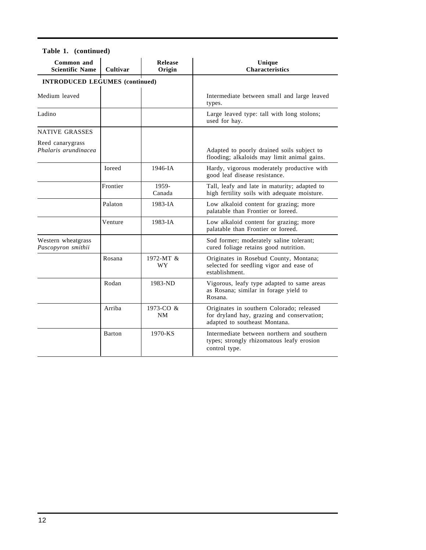| Common and<br><b>Scientific Name</b>     | Cultivar | Release<br>Origin | Unique<br><b>Characteristics</b>                                                                                         |
|------------------------------------------|----------|-------------------|--------------------------------------------------------------------------------------------------------------------------|
| <b>INTRODUCED LEGUMES (continued)</b>    |          |                   |                                                                                                                          |
| Medium leaved                            |          |                   | Intermediate between small and large leaved<br>types.                                                                    |
| Ladino                                   |          |                   | Large leaved type: tall with long stolons;<br>used for hay.                                                              |
| <b>NATIVE GRASSES</b>                    |          |                   |                                                                                                                          |
| Reed canarygrass<br>Phalaris arundinacea |          |                   | Adapted to poorly drained soils subject to<br>flooding; alkaloids may limit animal gains.                                |
|                                          | Ioreed   | 1946-IA           | Hardy, vigorous moderately productive with<br>good leaf disease resistance.                                              |
|                                          | Frontier | 1959-<br>Canada   | Tall, leafy and late in maturity; adapted to<br>high fertility soils with adequate moisture.                             |
|                                          | Palaton  | $1983 - IA$       | Low alkaloid content for grazing; more<br>palatable than Frontier or Ioreed.                                             |
|                                          | Venture  | $1983 - IA$       | Low alkaloid content for grazing; more<br>palatable than Frontier or Ioreed.                                             |
| Western wheatgrass<br>Pascopyron smithii |          |                   | Sod former; moderately saline tolerant;<br>cured foliage retains good nutrition.                                         |
|                                          | Rosana   | 1972-MT &<br>WY   | Originates in Rosebud County, Montana;<br>selected for seedling vigor and ease of<br>establishment.                      |
|                                          | Rodan    | 1983-ND           | Vigorous, leafy type adapted to same areas<br>as Rosana; similar in forage yield to<br>Rosana.                           |
|                                          | Arriba   | 1973-CO &<br>NM   | Originates in southern Colorado; released<br>for dryland hay, grazing and conservation;<br>adapted to southeast Montana. |
|                                          | Barton   | 1970-KS           | Intermediate between northern and southern<br>types; strongly rhizomatous leafy erosion<br>control type.                 |

#### **Table 1. (continued)**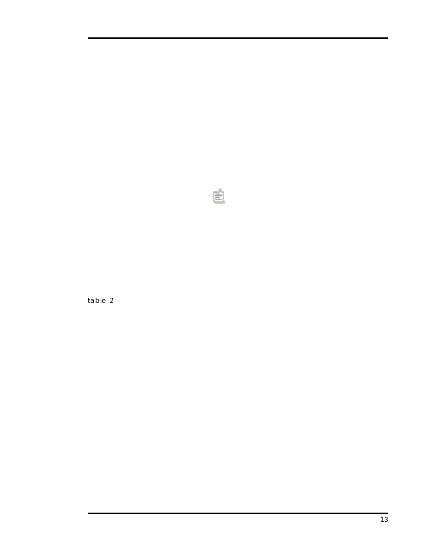table 2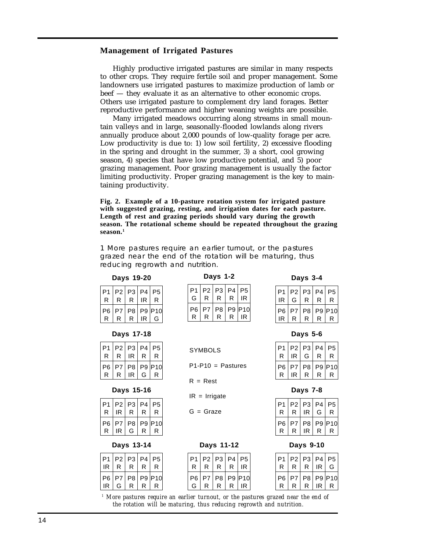#### <span id="page-13-0"></span>**Management of Irrigated Pastures**

Highly productive irrigated pastures are similar in many respects to other crops. They require fertile soil and proper management. Some landowners use irrigated pastures to maximize production of lamb or beef — they evaluate it as an alternative to other economic crops. Others use irrigated pasture to complement dry land forages. Better reproductive performance and higher weaning weights are possible.

Many irrigated meadows occurring along streams in small mountain valleys and in large, seasonally-flooded lowlands along rivers annually produce about 2,000 pounds of low-quality forage per acre. Low productivity is due to: 1) low soil fertility, 2) excessive flooding in the spring and drought in the summer, 3) a short, cool growing season, 4) species that have low productive potential, and 5) poor grazing management. Poor grazing management is usually the factor limiting productivity. Proper grazing management is the key to maintaining productivity.

**Fig. 2. Example of a 10-pasture rotation system for irrigated pasture with suggested grazing, resting, and irrigation dates for each pasture. Length of rest and grazing periods should vary during the growth season. The rotational scheme should be repeated throughout the grazing season.1**

1 More pastures require an earlier turnout, or the pastures grazed near the end of the rotation will be maturing, thus reducing regrowth and nutrition.

**SYMBOLS** 

 $R =$  Rest

 $IR = Irrigate$ 

G = Graze

#### **Days 19-20**

#### $P1$  P2 P3 P4 P5  $R | R | R | IR$  $P6 | P7 | P8 | P9 | P10$

| Days 17-18 |
|------------|
|            |

R R R IR G

| P1 | P <sub>2</sub> | P <sub>3</sub> | P <sub>4</sub> | P5   |
|----|----------------|----------------|----------------|------|
| R  | R              | IR             | R              | R    |
| P6 | P7             | P <sub>8</sub> | P <sub>9</sub> | IP10 |
| R  | R              | IR             | G              | R    |

#### **Days 15-16**

| P1 | P <sub>2</sub> | P <sub>3</sub> | P <sub>4</sub> | P <sub>5</sub> |
|----|----------------|----------------|----------------|----------------|
| R  | IR             | R              | R              | R              |
| P6 | P7             | P8             | P <sub>9</sub> | IP10           |
| R  | IR             | G.             | R              | R              |

#### **Days 13-14**

| P1 | P2 | P <sub>3</sub> | P <sub>4</sub> | Р5  |
|----|----|----------------|----------------|-----|
| IR | R  | R              | R              | R   |
| P6 | P7 | P <sub>8</sub> | P <sub>9</sub> | P10 |
| IR | G  | R              | R              | R   |

| P1             |           | P2 P3 P4  |    | P <sub>5</sub> |
|----------------|-----------|-----------|----|----------------|
| G              | R.        | R         | R. | IR             |
| P <sub>6</sub> | <b>P7</b> | P8 P9 P10 |    |                |

**Days 1-2**

 $R | R | R | R | R$ 

P1-P10 = Pastures

| <b>DAVS</b> |  |
|-------------|--|
|             |  |

| P1 | P <sub>2</sub> | P <sub>3</sub> | P <sub>4</sub> | P <sub>5</sub> |
|----|----------------|----------------|----------------|----------------|
| IR | G              | R              | R              | R              |
| P6 | P7             | P <sub>8</sub> | R              | P9 P10         |
| IR | R              | R              |                | R              |

| Days 5-6 |    |                |                |     |  |
|----------|----|----------------|----------------|-----|--|
| P1       | P2 | P <sub>3</sub> | P <sub>4</sub> | P5  |  |
| R        | IR | G              | R              | R   |  |
| P6       | P7 | P <sub>8</sub> | P <sub>9</sub> | P10 |  |
| R        | ιR | R              | R              | R   |  |

| Dav |  |
|-----|--|
|-----|--|

| P1 | P <sub>2</sub> | P <sub>3</sub> | P <sub>4</sub> | P <sub>5</sub> |
|----|----------------|----------------|----------------|----------------|
| R  | R              | IR             | G              | R              |
| P6 | P7             | P8             | P <sub>9</sub> | P10            |
| R  | R              | IR             | R              | R              |

#### **Days 9-10**

| P              | P <sub>2</sub> | P <sub>3</sub> | P <sub>4</sub> | Р5  |
|----------------|----------------|----------------|----------------|-----|
| R              | R              | R              | IR             | G.  |
| P <sub>6</sub> | P7             | P <sub>8</sub> | P <sub>9</sub> | P10 |
| R              | R              | R              | ΙR             | R   |

*1 More pastures require an earlier turnout, or the pastures grazed near the end of the rotation will be maturing, thus reducing regrowth and nutrition.*

P1 P2 P3 P4 P5  $R | R | R | R$ P6 | P7 | P8 | P9 | P10  $G | R | R | R | R$ 

**Days 11-12**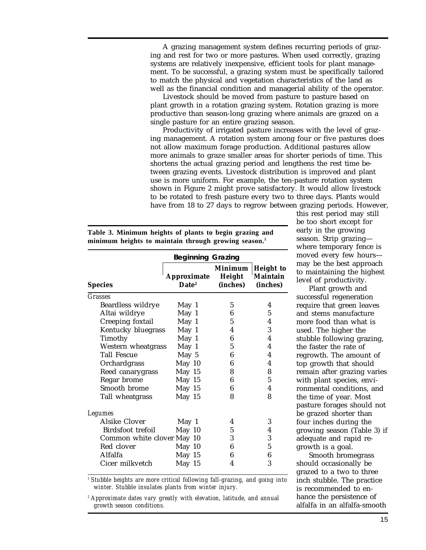<span id="page-14-0"></span>A grazing management system defines recurring periods of grazing and rest for two or more pastures. When used correctly, grazing systems are relatively inexpensive, efficient tools for plant management. To be successful, a grazing system must be specifically tailored to match the physical and vegetation characteristics of the land as well as the financial condition and managerial ability of the operator.

Livestock should be moved from pasture to pasture based on plant growth in a rotation grazing system. Rotation grazing is more productive than season-long grazing where animals are grazed on a single pasture for an entire grazing season.

Productivity of irrigated pasture increases with the level of grazing management. A rotation system among four or five pastures does not allow maximum forage production. Additional pastures allow more animals to graze smaller areas for shorter periods of time. This shortens the actual grazing period and lengthens the rest time between grazing events. Livestock distribution is improved and plant use is more uniform. For example, the ten-pasture rotation system shown in Figure 2 might prove satisfactory. It would allow livestock to be rotated to fresh pasture every two to three days. Plants would have from 18 to 27 days to regrow between grazing periods. However,

|  |                                                                  |  | Table 3. Minimum heights of plants to begin grazing and |
|--|------------------------------------------------------------------|--|---------------------------------------------------------|
|  | minimum heights to maintain through growing season. <sup>1</sup> |  |                                                         |

|                            | <b>Beginning Grazing</b>         |                               |                                          |
|----------------------------|----------------------------------|-------------------------------|------------------------------------------|
| <b>Species</b>             | Approximate<br>Date <sup>2</sup> | Minimum<br>Height<br>(inches) | <b>Height</b> to<br>Maintain<br>(inches) |
| <b>Grasses</b>             |                                  |                               |                                          |
| Beardless wildrye          | May 1                            | 5                             | 4                                        |
| Altai wildrye              | May 1                            | 6                             | 5                                        |
| Creeping foxtail           | May 1                            | 5                             | 4                                        |
| Kentucky bluegrass         | May 1                            | 4                             | 3                                        |
| Timothy                    | May 1                            | 6                             | 4                                        |
| Western wheatgrass         | May 1                            | 5                             | 4                                        |
| <b>Tall Fescue</b>         | May 5                            | 6                             | 4                                        |
| Orchardgrass               | May 10                           | 6                             | 4                                        |
| Reed canarygrass           | May 15                           | 8                             | 8                                        |
| Regar brome                | May 15                           | 6                             | $\overline{5}$                           |
| Smooth brome               | May 15                           | 6                             | 4                                        |
| Tall wheatgrass            | May 15                           | 8                             | 8                                        |
| <b>Legumes</b>             |                                  |                               |                                          |
| Alsike Clover              | May 1                            | 4                             | 3                                        |
| Birdsfoot trefoil          | May 10                           | 5                             | 4                                        |
| Common white clover May 10 |                                  | 3                             | 3                                        |
| Red clover                 | May 10                           | 6                             | 5                                        |
| Alfalfa                    | May 15                           | 6                             | 6                                        |
| Cicer milkvetch            | May 15                           | 4                             | 3                                        |

this rest period may still be too short except for early in the growing season. Strip grazing where temporary fence is moved every few hours may be the best approach to maintaining the highest level of productivity.

Plant growth and successful regeneration require that green leaves and stems manufacture more food than what is used. The higher the stubble following grazing, the faster the rate of regrowth. The amount of top growth that should remain after grazing varies with plant species, environmental conditions, and the time of year. Most pasture forages should not be grazed shorter than four inches during the growing season (Table 3) if adequate and rapid regrowth is a goal.

Smooth bromegrass should occasionally be grazed to a two to three inch stubble. The practice is recommended to enhance the persistence of alfalfa in an alfalfa-smooth

*1 Stubble heights are more critical following fall-grazing, and going into winter. Stubble insulates plants from winter injury.*

*<sup>2</sup> Approximate dates vary greatly with elevation, latitude, and annual growth season conditions.*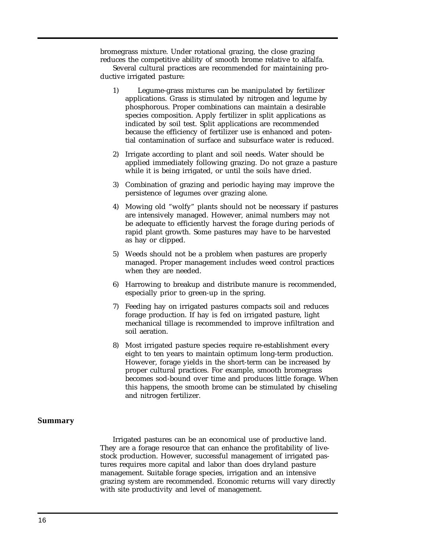<span id="page-15-0"></span>bromegrass mixture. Under rotational grazing, the close grazing reduces the competitive ability of smooth brome relative to alfalfa.

Several cultural practices are recommended for maintaining productive irrigated pasture:

- 1) Legume-grass mixtures can be manipulated by fertilizer applications. Grass is stimulated by nitrogen and legume by phosphorous. Proper combinations can maintain a desirable species composition. Apply fertilizer in split applications as indicated by soil test. Split applications are recommended because the efficiency of fertilizer use is enhanced and potential contamination of surface and subsurface water is reduced.
- 2) Irrigate according to plant and soil needs. Water should be applied immediately following grazing. Do not graze a pasture while it is being irrigated, or until the soils have dried.
- 3) Combination of grazing and periodic haying may improve the persistence of legumes over grazing alone.
- 4) Mowing old "wolfy" plants should not be necessary if pastures are intensively managed. However, animal numbers may not be adequate to efficiently harvest the forage during periods of rapid plant growth. Some pastures may have to be harvested as hay or clipped.
- 5) Weeds should not be a problem when pastures are properly managed. Proper management includes weed control practices when they are needed.
- 6) Harrowing to breakup and distribute manure is recommended, especially prior to green-up in the spring.
- 7) Feeding hay on irrigated pastures compacts soil and reduces forage production. If hay is fed on irrigated pasture, light mechanical tillage is recommended to improve infiltration and soil aeration.
- 8) Most irrigated pasture species require re-establishment every eight to ten years to maintain optimum long-term production. However, forage yields in the short-term can be increased by proper cultural practices. For example, smooth bromegrass becomes sod-bound over time and produces little forage. When this happens, the smooth brome can be stimulated by chiseling and nitrogen fertilizer.

#### **Summary**

Irrigated pastures can be an economical use of productive land. They are a forage resource that can enhance the profitability of livestock production. However, successful management of irrigated pastures requires more capital and labor than does dryland pasture management. Suitable forage species, irrigation and an intensive grazing system are recommended. Economic returns will vary directly with site productivity and level of management.